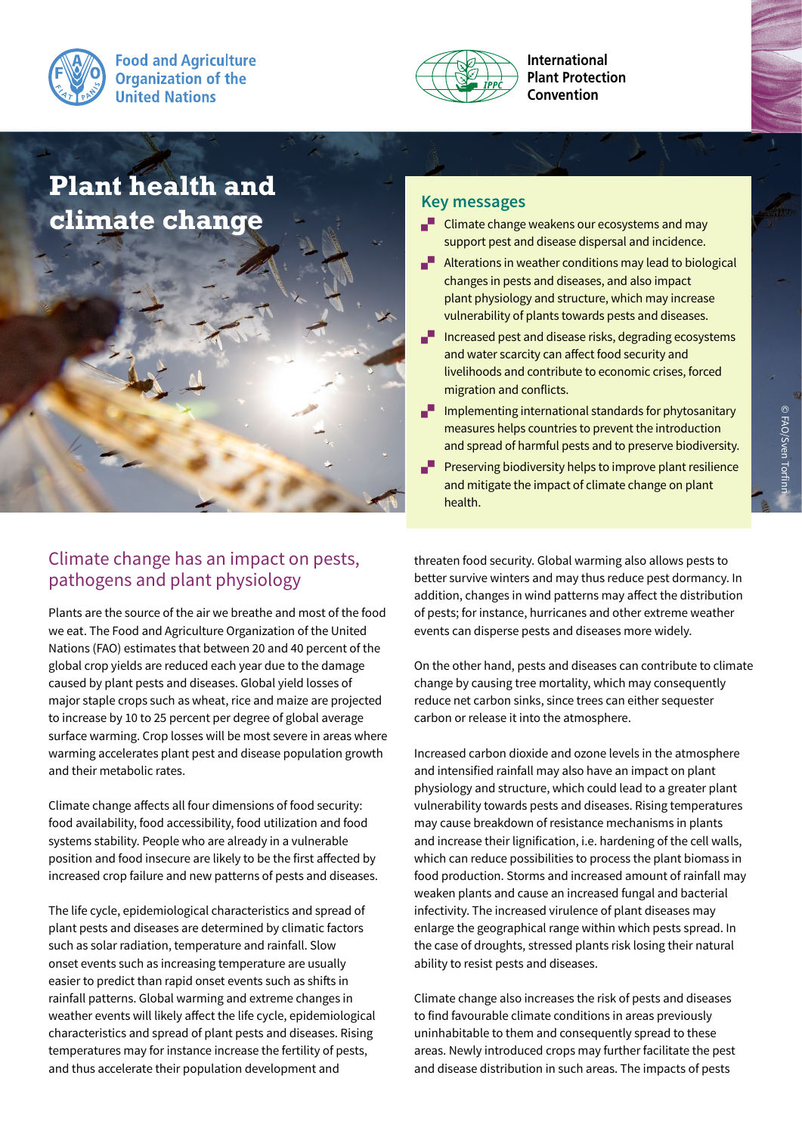



**International Plant Protection Convention**

# **Plant health and climate change**

# Climate change has an impact on pests, pathogens and plant physiology

Plants are the source of the air we breathe and most of the food we eat. The Food and Agriculture Organization of the United Nations (FAO) estimates that between 20 and 40 percent of the global crop yields are reduced each year due to the damage caused by plant pests and diseases. Global yield losses of major staple crops such as wheat, rice and maize are projected to increase by 10 to 25 percent per degree of global average surface warming. Crop losses will be most severe in areas where warming accelerates plant pest and disease population growth and their metabolic rates.

Climate change affects all four dimensions of food security: food availability, food accessibility, food utilization and food systems stability. People who are already in a vulnerable position and food insecure are likely to be the first affected by increased crop failure and new patterns of pests and diseases.

The life cycle, epidemiological characteristics and spread of plant pests and diseases are determined by climatic factors such as solar radiation, temperature and rainfall. Slow onset events such as increasing temperature are usually easier to predict than rapid onset events such as shifts in rainfall patterns. Global warming and extreme changes in weather events will likely affect the life cycle, epidemiological characteristics and spread of plant pests and diseases. Rising temperatures may for instance increase the fertility of pests, and thus accelerate their population development and

- $\blacksquare$  Climate change weakens our ecosystems and may support pest and disease dispersal and incidence.
- $\blacksquare$  Alterations in weather conditions may lead to biological changes in pests and diseases, and also impact plant physiology and structure, which may increase vulnerability of plants towards pests and diseases.
- $I$  Increased pest and disease risks, degrading ecosystems and water scarcity can affect food security and livelihoods and contribute to economic crises, forced migration and conflicts.
- $\blacksquare$  Implementing international standards for phytosanitary measures helps countries to prevent the introduction and spread of harmful pests and to preserve biodiversity.
- $\blacksquare$  Preserving biodiversity helps to improve plant resilience and mitigate the impact of climate change on plant health.

threaten food security. Global warming also allows pests to better survive winters and may thus reduce pest dormancy. In addition, changes in wind patterns may affect the distribution of pests; for instance, hurricanes and other extreme weather events can disperse pests and diseases more widely.

On the other hand, pests and diseases can contribute to climate change by causing tree mortality, which may consequently reduce net carbon sinks, since trees can either sequester carbon or release it into the atmosphere.

Increased carbon dioxide and ozone levels in the atmosphere and intensified rainfall may also have an impact on plant physiology and structure, which could lead to a greater plant vulnerability towards pests and diseases. Rising temperatures may cause breakdown of resistance mechanisms in plants and increase their lignification, i.e. hardening of the cell walls, which can reduce possibilities to process the plant biomass in food production. Storms and increased amount of rainfall may weaken plants and cause an increased fungal and bacterial infectivity. The increased virulence of plant diseases may enlarge the geographical range within which pests spread. In the case of droughts, stressed plants risk losing their natural ability to resist pests and diseases.

Climate change also increases the risk of pests and diseases to find favourable climate conditions in areas previously uninhabitable to them and consequently spread to these areas. Newly introduced crops may further facilitate the pest and disease distribution in such areas. The impacts of pests